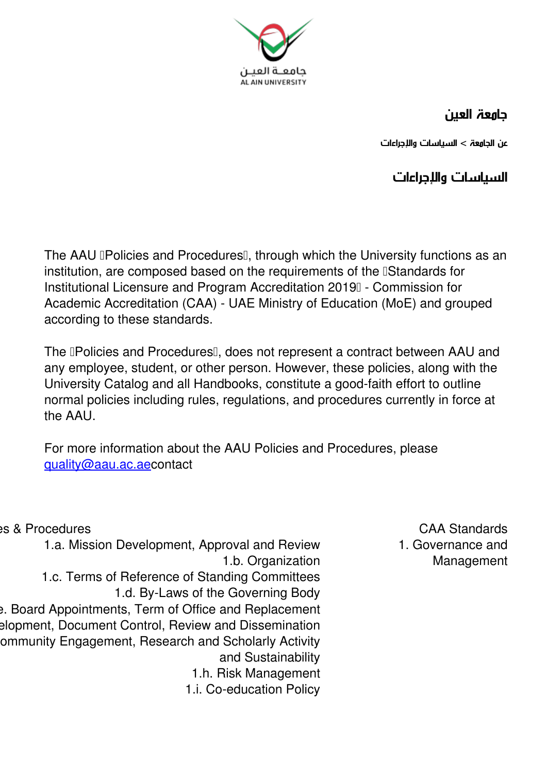

## **جامعة العين**

**عن الجامعة > السياسات والإجراءات**

**السياسات والإجراءات**

The AAU **Policies and Procedures** I, through which the University functions as an institution, are composed based on the requirements of the **IStandards** for Institutional Licensure and Program Accreditation 2019 - Commission for Academic Accreditation (CAA) - UAE Ministry of Education (MoE) and grouped according to these standards.

The **Policies and Procedures** and does not represent a contract between AAU and any employee, student, or other person. However, these policies, along with the University Catalog and all Handbooks, constitute a good-faith effort to outline normal policies including rules, regulations, and procedures currently in force at the AAU.

For more information about the AAU Policies and Procedures, please guality@aau.ac.[ae](mailto:quality@aau.ac.ae)contact

**Standards CAA Procedures CAA** Standards **CAA** Standards 1.a. Mission Development, Approval and Review 1.b. Organization 1.c. Terms of Reference of Standing Committees 1.d. By-Laws of the Governing Body Board Appointments, Term of Office and Replacement elopment, Document Control, Review and Dissemination ommunity Engagement, Research and Scholarly Activity and Sustainability 1.h. Risk Management 1.i. Co-education Policy

**1. Governance and Management**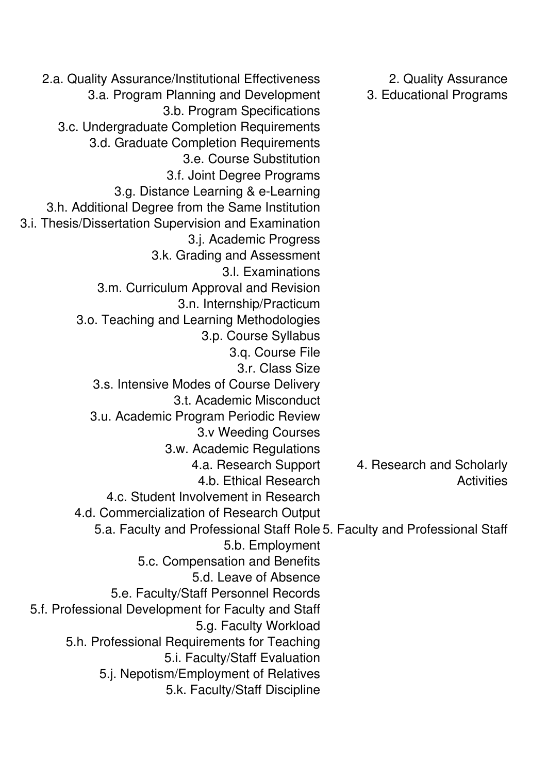| 2.a. Quality Assurance/Institutional Effectiveness                         | 2. Quality Assurance      |
|----------------------------------------------------------------------------|---------------------------|
| 3.a. Program Planning and Development                                      | 3. Educational Programs   |
| 3.b. Program Specifications                                                |                           |
| 3.c. Undergraduate Completion Requirements                                 |                           |
| 3.d. Graduate Completion Requirements                                      |                           |
| 3.e. Course Substitution                                                   |                           |
| 3.f. Joint Degree Programs                                                 |                           |
| 3.g. Distance Learning & e-Learning                                        |                           |
| 3.h. Additional Degree from the Same Institution                           |                           |
| 3.i. Thesis/Dissertation Supervision and Examination                       |                           |
| 3.j. Academic Progress                                                     |                           |
| 3.k. Grading and Assessment                                                |                           |
| 3.I. Examinations                                                          |                           |
| 3.m. Curriculum Approval and Revision                                      |                           |
| 3.n. Internship/Practicum                                                  |                           |
| 3.o. Teaching and Learning Methodologies                                   |                           |
| 3.p. Course Syllabus                                                       |                           |
| 3.q. Course File                                                           |                           |
| 3.r. Class Size                                                            |                           |
| 3.s. Intensive Modes of Course Delivery                                    |                           |
| 3.t. Academic Misconduct                                                   |                           |
| 3.u. Academic Program Periodic Review                                      |                           |
| 3.v Weeding Courses                                                        |                           |
| 3.w. Academic Regulations                                                  |                           |
| 4.a. Research Support                                                      | 4. Research and Scholarly |
| 4.b. Ethical Research                                                      | <b>Activities</b>         |
| 4.c. Student Involvement in Research                                       |                           |
| 4.d. Commercialization of Research Output                                  |                           |
| 5.a. Faculty and Professional Staff Role 5. Faculty and Professional Staff |                           |
| 5.b. Employment                                                            |                           |
| 5.c. Compensation and Benefits                                             |                           |
| 5.d. Leave of Absence                                                      |                           |
| 5.e. Faculty/Staff Personnel Records                                       |                           |
| 5.f. Professional Development for Faculty and Staff                        |                           |
| 5.g. Faculty Workload                                                      |                           |
| 5.h. Professional Requirements for Teaching                                |                           |
| 5.i. Faculty/Staff Evaluation                                              |                           |
| 5.j. Nepotism/Employment of Relatives                                      |                           |
| 5.k. Faculty/Staff Discipline                                              |                           |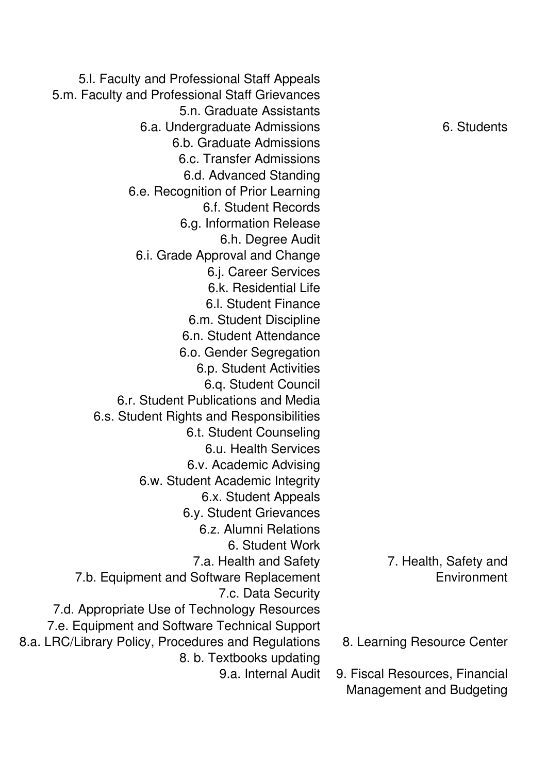5.I. Faculty and Professional Staff Appeals 5.m. Faculty and Professional Staff Grievances 5.n. Graduate Assistants 6.a. Undergraduate Admissions **6.** Students 6.b. Graduate Admissions 6.c. Transfer Admissions 6.d. Advanced Standing 6.e. Recognition of Prior Learning 6.f. Student Records 6.g. Information Release 6.h. Degree Audit 6.i. Grade Approval and Change 6.j. Career Services 6.k. Residential Life 6.I. Student Finance 6.m. Student Discipline 6.n. Student Attendance 6.o. Gender Segregation 6.p. Student Activities 6.g. Student Council 6.r. Student Publications and Media 6.s. Student Rights and Responsibilities 6.t. Student Counseling 6 u. Health Services 6.v. Academic Advising 6.w. Student Academic Integrity 6.x. Student Appeals 6.y. Student Grievances 6.z. Alumni Relations 6. Student Work 7.a. Health and Safety 7.b. Equipment and Software Replacement 7.c. Data Security 7.d. Appropriate Use of Technology Resources 7.e. Equipment and Software Technical Support **E.a. LRC/Library Policy, Procedures and Regulations 6. Learning Resource Center** 8. b. Textbooks updating 9 a Internal Audit

7. Health, Safety and **Environment**

- 
- **9. Fiscal Resources. Financial Management and Budgeting**